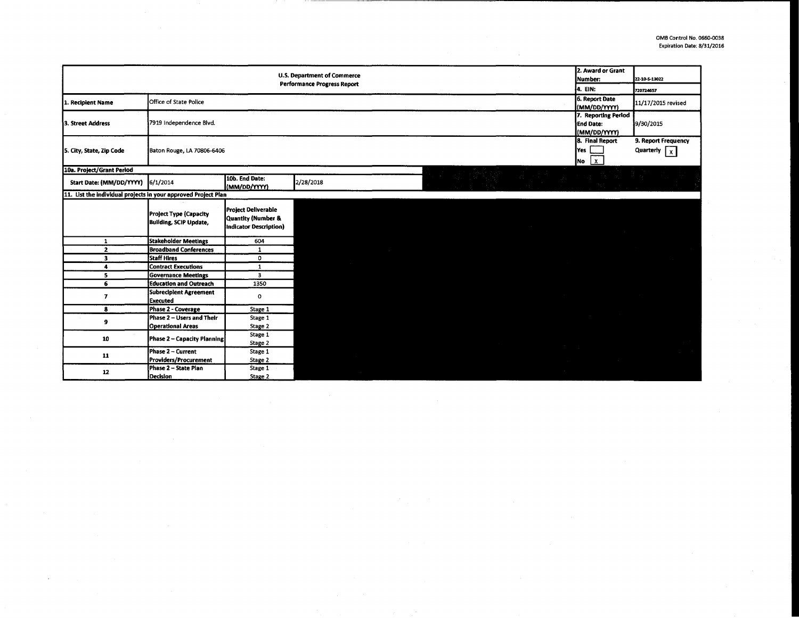|                                                                |                                                                |                                                                            | <b>U.S. Department of Commerce</b><br><b>Performance Progress Report</b> |  | 2. Award or Grant<br>Number:                            | 22-10 5-13022                        |
|----------------------------------------------------------------|----------------------------------------------------------------|----------------------------------------------------------------------------|--------------------------------------------------------------------------|--|---------------------------------------------------------|--------------------------------------|
|                                                                |                                                                |                                                                            |                                                                          |  | 4. EIN:                                                 | 720724657                            |
| 1. Recipient Name                                              | Office of State Police                                         |                                                                            |                                                                          |  | 6. Report Date<br>(MM/DD/YYYY)                          | 11/17/2015 revised                   |
| 3. Street Address                                              | 7919 Independence Blvd.                                        |                                                                            |                                                                          |  | 7. Reporting Period<br><b>End Date:</b><br>(MM/DD/YYYY) | 9/30/2015                            |
| 5. City, State, Zip Code                                       | Baton Rouge, LA 70806-6406                                     |                                                                            |                                                                          |  | 8. Final Report<br>lYes<br>$\mathbf{1} \times$<br> No   | 9. Report Frequency<br>Quarterly $x$ |
| 10a. Project/Grant Period                                      |                                                                |                                                                            |                                                                          |  |                                                         |                                      |
| Start Date: (MM/DD/YYYY)                                       | 6/1/2014                                                       | 10b. End Date:<br>(MM/DD/YYYY)                                             | 2/28/2018                                                                |  | 거나 오늘 주말을 하는데 아니다. 그는 그 아이가 어려워 주었다.                    |                                      |
| 11. List the individual projects in your approved Project Plan |                                                                |                                                                            |                                                                          |  |                                                         |                                      |
|                                                                | <b>Project Type (Capacity</b><br><b>Building, SCIP Update,</b> | <b>Project Deliverable</b><br>Quantity (Number &<br>Indicator Description) |                                                                          |  |                                                         |                                      |
| 1                                                              | <b>Stakeholder Meetings</b>                                    | 604                                                                        |                                                                          |  |                                                         |                                      |
| $\mathbf{z}$                                                   | <b>Broadband Conferences</b>                                   | $\mathbf{1}$                                                               |                                                                          |  |                                                         |                                      |
| 3                                                              | Staff Hires                                                    | 0                                                                          |                                                                          |  |                                                         |                                      |
| 4                                                              | <b>Contract Executions</b>                                     | $\mathbf{1}$                                                               |                                                                          |  |                                                         |                                      |
| 5                                                              | <b>Governance Meetings</b>                                     | $\mathbf{3}$                                                               |                                                                          |  |                                                         |                                      |
| 6                                                              | <b>Education and Outreach</b>                                  | 1350                                                                       |                                                                          |  |                                                         |                                      |
| 7                                                              | Subrecipient Agreement<br><b>Executed</b>                      | 0                                                                          |                                                                          |  |                                                         |                                      |
| 8                                                              | Phase 2 - Coverage                                             | Stage 1                                                                    |                                                                          |  |                                                         |                                      |
| 9                                                              | Phase 2 - Users and Their                                      | Stage 1                                                                    |                                                                          |  |                                                         |                                      |
|                                                                | <b>Operational Areas</b>                                       | Stage 2                                                                    |                                                                          |  |                                                         |                                      |
| 10                                                             | Phase 2 - Capacity Planning                                    | Stage 1<br>Stage 2                                                         |                                                                          |  |                                                         |                                      |
| 11                                                             | Phase 2 - Current                                              | Stage 1                                                                    |                                                                          |  |                                                         |                                      |
|                                                                | Providers/Procurement                                          | Stage 2                                                                    |                                                                          |  |                                                         |                                      |
| 12                                                             | Phase 2 - State Plan<br>Decision                               | Stage 1<br>Stage 2                                                         |                                                                          |  |                                                         |                                      |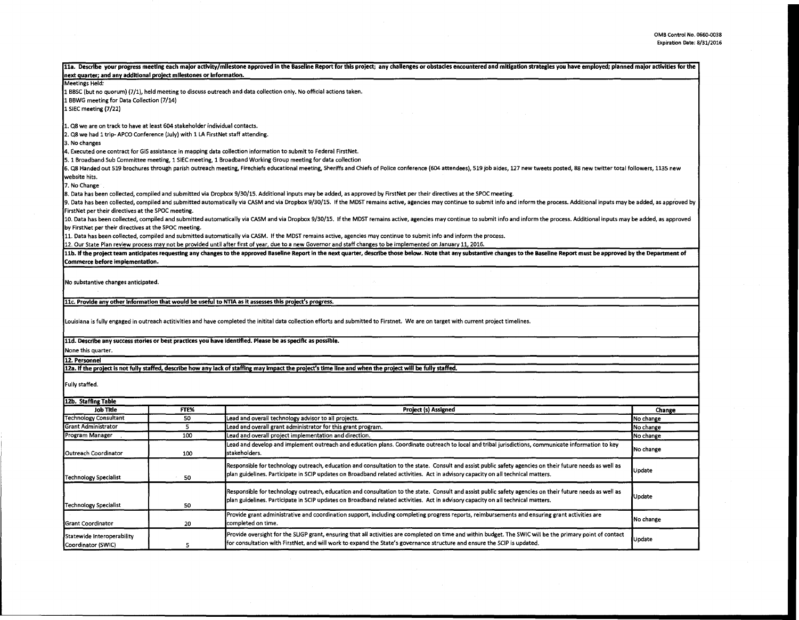| next quarter; and any additional project milestones or information.                                                                                              |                          | 11a. Describe your progress meeting each major activity/milestone approved in the Baseline Report for this project; any challenges or obstacles encountered and mitigation strategies you have employed; planned major activit |           |  |  |  |  |  |
|------------------------------------------------------------------------------------------------------------------------------------------------------------------|--------------------------|--------------------------------------------------------------------------------------------------------------------------------------------------------------------------------------------------------------------------------|-----------|--|--|--|--|--|
| Meetings Held:                                                                                                                                                   |                          |                                                                                                                                                                                                                                |           |  |  |  |  |  |
|                                                                                                                                                                  |                          |                                                                                                                                                                                                                                |           |  |  |  |  |  |
| 1 BBSC (but no quorum) (7/1), held meeting to discuss outreach and data collection only. No official actions taken.<br>1 BBWG meeting for Data Collection (7/14) |                          |                                                                                                                                                                                                                                |           |  |  |  |  |  |
| 1 SiEC meeting (7/22)                                                                                                                                            |                          |                                                                                                                                                                                                                                |           |  |  |  |  |  |
|                                                                                                                                                                  |                          |                                                                                                                                                                                                                                |           |  |  |  |  |  |
| 1. Q8 we are on track to have at least 604 stakeholder individual contacts.                                                                                      |                          |                                                                                                                                                                                                                                |           |  |  |  |  |  |
| 2. Q8 we had 1 trip-APCO Conference (July) with 1 LA FirstNet staff attending.                                                                                   |                          |                                                                                                                                                                                                                                |           |  |  |  |  |  |
| 3. No changes                                                                                                                                                    |                          |                                                                                                                                                                                                                                |           |  |  |  |  |  |
|                                                                                                                                                                  |                          | 4. Executed one contract for GIS assistance in mapping data collection information to submit to Federal FirstNet.                                                                                                              |           |  |  |  |  |  |
|                                                                                                                                                                  |                          | 5. 1 Broadband Sub Committee meeting, 1 SIEC meeting, 1 Broadband Working Group meeting for data collection                                                                                                                    |           |  |  |  |  |  |
|                                                                                                                                                                  |                          | 6. Q8 Handed out 519 brochures through parish outreach meeting, Firechiefs educational meeting, Sheriffs and Chiefs of Police conference (604 attendees), 519 job aides, 127 new tweets posted, 88 new twitter total followers |           |  |  |  |  |  |
| website hits.                                                                                                                                                    |                          |                                                                                                                                                                                                                                |           |  |  |  |  |  |
| 7. No Change                                                                                                                                                     |                          |                                                                                                                                                                                                                                |           |  |  |  |  |  |
|                                                                                                                                                                  |                          | 8. Data has been collected, compiled and submitted via Dropbox 9/30/15. Additional inputs may be added, as approved by FirstNet per their directives at the SPOC meeting.                                                      |           |  |  |  |  |  |
|                                                                                                                                                                  |                          | 9. Data has been collected, compiled and submitted automatically via CASM and via Dropbox 9/30/15. If the MDST remains active, agencies may continue to submit info and inform the process. Additional inputs may be added, as |           |  |  |  |  |  |
| FirstNet per their directives at the SPOC meeting.                                                                                                               |                          |                                                                                                                                                                                                                                |           |  |  |  |  |  |
|                                                                                                                                                                  |                          | 10. Data has been collected, compiled and submitted automatically via CASM and via Dropbox 9/30/15. If the MDST remains active, agencies may continue to submit info and inform the process. Additional inputs may be added, a |           |  |  |  |  |  |
| by FirstNet per their directives at the SPOC meeting.                                                                                                            |                          |                                                                                                                                                                                                                                |           |  |  |  |  |  |
|                                                                                                                                                                  |                          | 11. Data has been collected, compiled and submitted automatically via CASM. If the MDST remains active, agencies may continue to submit info and inform the process.                                                           |           |  |  |  |  |  |
|                                                                                                                                                                  |                          | 12. Our State Plan review process may not be provided until after first of year, due to a new Governor and staff changes to be implemented on January 11, 2016.                                                                |           |  |  |  |  |  |
|                                                                                                                                                                  |                          | 11b. If the project team anticipates requesting any changes to the approved Baseline Report in the next quarter, describe those below. Note that any substantive changes to the Baseline Report must be approved by the Depart |           |  |  |  |  |  |
| Commerce before implementation.                                                                                                                                  |                          |                                                                                                                                                                                                                                |           |  |  |  |  |  |
|                                                                                                                                                                  |                          |                                                                                                                                                                                                                                |           |  |  |  |  |  |
| No substantive changes anticipated.                                                                                                                              |                          |                                                                                                                                                                                                                                |           |  |  |  |  |  |
|                                                                                                                                                                  |                          |                                                                                                                                                                                                                                |           |  |  |  |  |  |
|                                                                                                                                                                  |                          | 11c. Provide any other information that would be useful to NTIA as it assesses this project's progress.                                                                                                                        |           |  |  |  |  |  |
|                                                                                                                                                                  |                          |                                                                                                                                                                                                                                |           |  |  |  |  |  |
|                                                                                                                                                                  |                          | Louisiana is fully engaged in outreach actitivities and have completed the initital data collection efforts and submitted to Firstnet. We are on target with current project timelines.                                        |           |  |  |  |  |  |
|                                                                                                                                                                  |                          |                                                                                                                                                                                                                                |           |  |  |  |  |  |
|                                                                                                                                                                  |                          |                                                                                                                                                                                                                                |           |  |  |  |  |  |
|                                                                                                                                                                  |                          | 11d. Describe any success stories or best practices you have identified. Please be as specific as possible.                                                                                                                    |           |  |  |  |  |  |
| None this quarter.                                                                                                                                               |                          |                                                                                                                                                                                                                                |           |  |  |  |  |  |
| 12. Personnel                                                                                                                                                    |                          |                                                                                                                                                                                                                                |           |  |  |  |  |  |
|                                                                                                                                                                  |                          | 12a. If the project is not fully staffed, describe how any lack of staffing may impact the project's time line and when the project will be fully staffed.                                                                     |           |  |  |  |  |  |
|                                                                                                                                                                  |                          |                                                                                                                                                                                                                                |           |  |  |  |  |  |
| Fully staffed.                                                                                                                                                   |                          |                                                                                                                                                                                                                                |           |  |  |  |  |  |
|                                                                                                                                                                  |                          |                                                                                                                                                                                                                                |           |  |  |  |  |  |
| 12b. Staffing Table                                                                                                                                              |                          |                                                                                                                                                                                                                                |           |  |  |  |  |  |
| Job Title                                                                                                                                                        | FTE%                     | Project (s) Assigned                                                                                                                                                                                                           | Change    |  |  |  |  |  |
| <b>Technology Consultant</b>                                                                                                                                     | 50                       | Lead and overall technology advisor to all projects.                                                                                                                                                                           | No change |  |  |  |  |  |
| Grant Administrator                                                                                                                                              | 5                        | Lead and overall grant administrator for this grant program.                                                                                                                                                                   | No change |  |  |  |  |  |
| Program Manager                                                                                                                                                  | 100                      | Lead and overall project implementation and direction.                                                                                                                                                                         | No change |  |  |  |  |  |
|                                                                                                                                                                  |                          | Lead and develop and implement outreach and education plans. Coordinate outreach to local and tribal jurisdictions, communicate information to key                                                                             |           |  |  |  |  |  |
| Outreach Coordinator                                                                                                                                             | 100                      | stakeholders.                                                                                                                                                                                                                  | No change |  |  |  |  |  |
|                                                                                                                                                                  |                          |                                                                                                                                                                                                                                |           |  |  |  |  |  |
|                                                                                                                                                                  |                          | Responsible for technology outreach, education and consultation to the state. Consult and assist public safety agencies on their future needs as well as                                                                       | Update    |  |  |  |  |  |
| <b>Technology Specialist</b>                                                                                                                                     | 50                       | plan guidelines. Participate in SCIP updates on Broadband related activities. Act in advisory capacity on all technical matters.                                                                                               |           |  |  |  |  |  |
|                                                                                                                                                                  |                          |                                                                                                                                                                                                                                |           |  |  |  |  |  |
|                                                                                                                                                                  |                          | Responsible for technology outreach, education and consultation to the state. Consult and assist public safety agencies on their future needs as well as                                                                       |           |  |  |  |  |  |
|                                                                                                                                                                  |                          | plan guidelines. Participate in SCIP updates on Broadband related activities. Act in advisory capacity on all technical matters.                                                                                               | Update    |  |  |  |  |  |
| <b>Technology Specialist</b>                                                                                                                                     | 50                       |                                                                                                                                                                                                                                |           |  |  |  |  |  |
|                                                                                                                                                                  |                          | Provide grant administrative and coordination support, including completing progress reports, reimbursements and ensuring grant activities are                                                                                 | No change |  |  |  |  |  |
| <b>Grant Coordinator</b>                                                                                                                                         | completed on time.<br>20 |                                                                                                                                                                                                                                |           |  |  |  |  |  |
| Statewide Interoperability                                                                                                                                       |                          | Provide oversight for the SLIGP grant, ensuring that all activities are completed on time and within budget. The SWIC will be the primary point of contact                                                                     |           |  |  |  |  |  |
| Coordinator (SWIC)                                                                                                                                               | 5                        | for consultation with FirstNet, and will work to expand the State's governance structure and ensure the SCIP is updated.                                                                                                       | Update    |  |  |  |  |  |
|                                                                                                                                                                  |                          |                                                                                                                                                                                                                                |           |  |  |  |  |  |